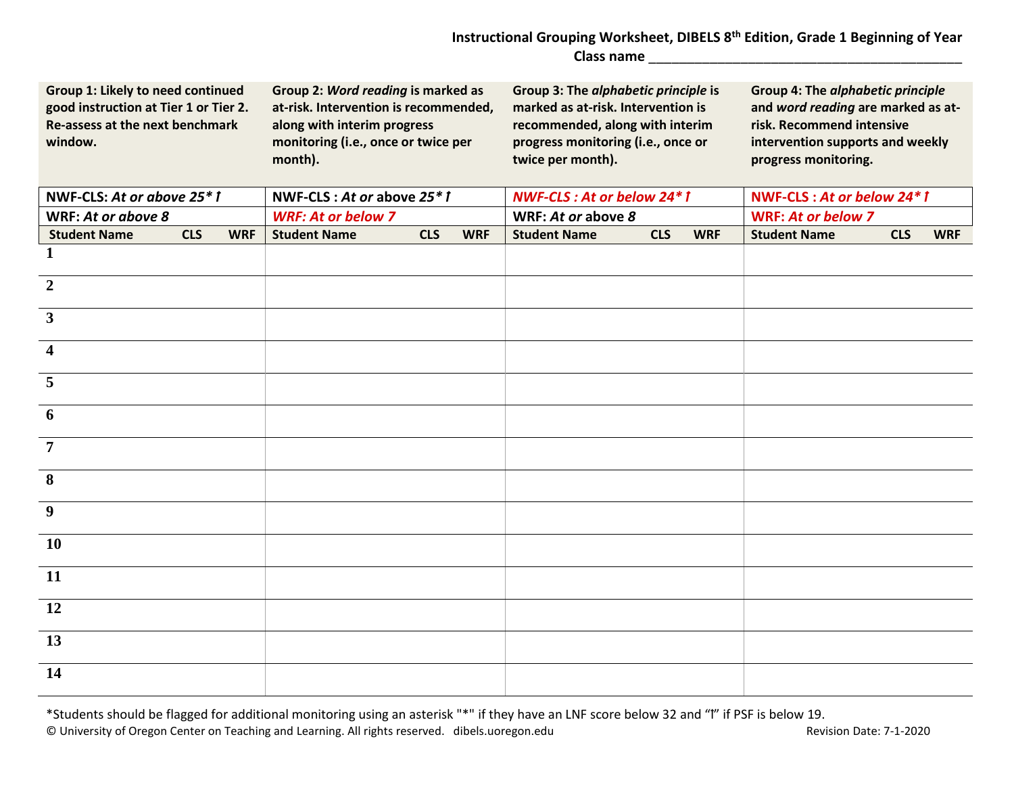## **Instructional Grouping Worksheet, DIBELS 8th Edition, Grade 1 Beginning of Year Class name** \_\_\_\_\_\_\_\_\_\_\_\_\_\_\_\_\_\_\_\_\_\_\_\_\_\_\_\_\_\_\_\_\_\_\_\_\_\_\_\_\_

| Group 1: Likely to need continued<br>good instruction at Tier 1 or Tier 2.<br><b>Re-assess at the next benchmark</b><br>window. |            |            | Group 2: Word reading is marked as<br>at-risk. Intervention is recommended,<br>along with interim progress<br>monitoring (i.e., once or twice per<br>month). |            | Group 3: The alphabetic principle is<br>marked as at-risk. Intervention is<br>recommended, along with interim<br>progress monitoring (i.e., once or<br>twice per month). |                     |            | <b>Group 4: The alphabetic principle</b><br>and word reading are marked as at-<br>risk. Recommend intensive<br>intervention supports and weekly<br>progress monitoring. |                           |            |            |
|---------------------------------------------------------------------------------------------------------------------------------|------------|------------|--------------------------------------------------------------------------------------------------------------------------------------------------------------|------------|--------------------------------------------------------------------------------------------------------------------------------------------------------------------------|---------------------|------------|-------------------------------------------------------------------------------------------------------------------------------------------------------------------------|---------------------------|------------|------------|
| NWF-CLS: At or above 25*1                                                                                                       |            |            | NWF-CLS: At or above 25*1                                                                                                                                    |            | <b>NWF-CLS: At or below 24*1</b>                                                                                                                                         |                     |            | NWF-CLS: At or below 24*1                                                                                                                                               |                           |            |            |
| WRF: At or above 8                                                                                                              |            |            | <b>WRF: At or below 7</b>                                                                                                                                    |            |                                                                                                                                                                          | WRF: At or above 8  |            |                                                                                                                                                                         | <b>WRF: At or below 7</b> |            |            |
| <b>Student Name</b>                                                                                                             | <b>CLS</b> | <b>WRF</b> | <b>Student Name</b>                                                                                                                                          | <b>CLS</b> | <b>WRF</b>                                                                                                                                                               | <b>Student Name</b> | <b>CLS</b> | <b>WRF</b>                                                                                                                                                              | <b>Student Name</b>       | <b>CLS</b> | <b>WRF</b> |
| 1                                                                                                                               |            |            |                                                                                                                                                              |            |                                                                                                                                                                          |                     |            |                                                                                                                                                                         |                           |            |            |
| $\overline{2}$                                                                                                                  |            |            |                                                                                                                                                              |            |                                                                                                                                                                          |                     |            |                                                                                                                                                                         |                           |            |            |
| $\mathbf{3}$                                                                                                                    |            |            |                                                                                                                                                              |            |                                                                                                                                                                          |                     |            |                                                                                                                                                                         |                           |            |            |
| $\overline{\mathbf{4}}$                                                                                                         |            |            |                                                                                                                                                              |            |                                                                                                                                                                          |                     |            |                                                                                                                                                                         |                           |            |            |
| 5                                                                                                                               |            |            |                                                                                                                                                              |            |                                                                                                                                                                          |                     |            |                                                                                                                                                                         |                           |            |            |
| 6                                                                                                                               |            |            |                                                                                                                                                              |            |                                                                                                                                                                          |                     |            |                                                                                                                                                                         |                           |            |            |
| $\overline{7}$                                                                                                                  |            |            |                                                                                                                                                              |            |                                                                                                                                                                          |                     |            |                                                                                                                                                                         |                           |            |            |
| 8                                                                                                                               |            |            |                                                                                                                                                              |            |                                                                                                                                                                          |                     |            |                                                                                                                                                                         |                           |            |            |
| 9                                                                                                                               |            |            |                                                                                                                                                              |            |                                                                                                                                                                          |                     |            |                                                                                                                                                                         |                           |            |            |
| <b>10</b>                                                                                                                       |            |            |                                                                                                                                                              |            |                                                                                                                                                                          |                     |            |                                                                                                                                                                         |                           |            |            |
| 11                                                                                                                              |            |            |                                                                                                                                                              |            |                                                                                                                                                                          |                     |            |                                                                                                                                                                         |                           |            |            |
| 12                                                                                                                              |            |            |                                                                                                                                                              |            |                                                                                                                                                                          |                     |            |                                                                                                                                                                         |                           |            |            |
| 13                                                                                                                              |            |            |                                                                                                                                                              |            |                                                                                                                                                                          |                     |            |                                                                                                                                                                         |                           |            |            |
| 14                                                                                                                              |            |            |                                                                                                                                                              |            |                                                                                                                                                                          |                     |            |                                                                                                                                                                         |                           |            |            |

\*Students should be flagged for additional monitoring using an asterisk "\*" if they have an LNF score below 32 and "I" if PSF is below 19. © University of Oregon Center on Teaching and Learning. All rights reserved. dibels.uoregon.edu Revision Date: 7-1-2020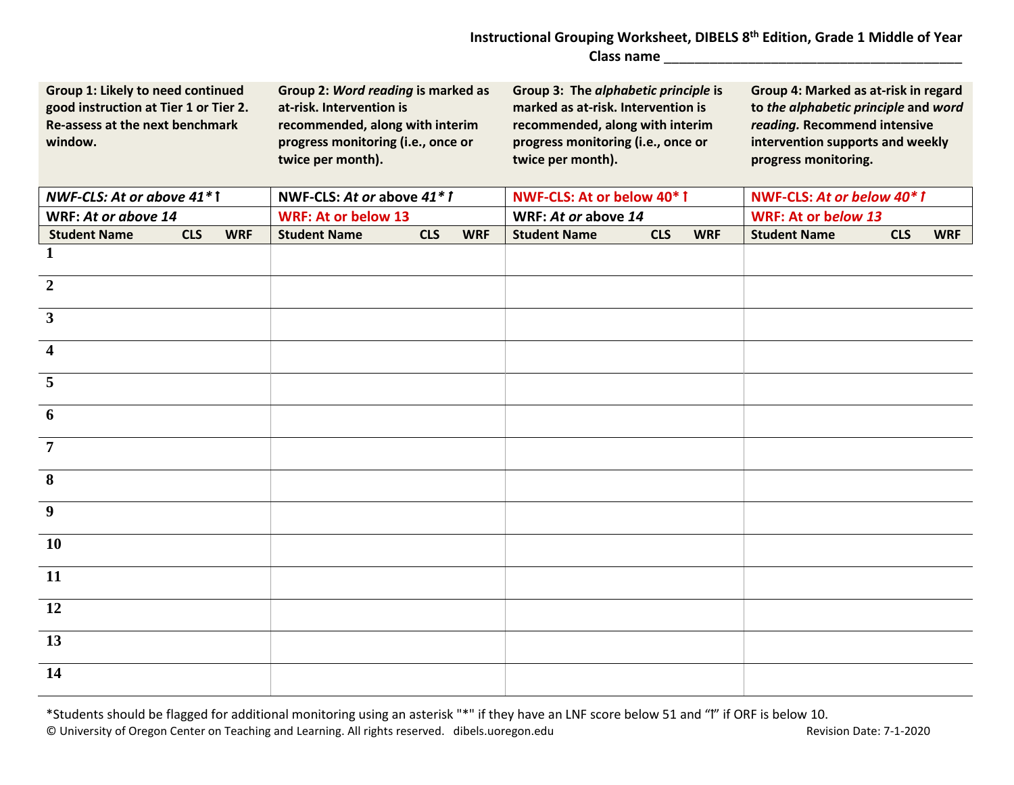## **Instructional Grouping Worksheet, DIBELS 8th Edition, Grade 1 Middle of Year Class name** \_\_\_\_\_\_\_\_\_\_\_\_\_\_\_\_\_\_\_\_\_\_\_\_\_\_\_\_\_\_\_\_\_\_\_\_\_\_\_

| Group 1: Likely to need continued<br>good instruction at Tier 1 or Tier 2.<br>Re-assess at the next benchmark<br>window. |            |            | Group 2: Word reading is marked as<br>at-risk. Intervention is<br>recommended, along with interim<br>progress monitoring (i.e., once or<br>twice per month). |            |            | Group 3: The alphabetic principle is<br>marked as at-risk. Intervention is<br>recommended, along with interim<br>progress monitoring (i.e., once or<br>twice per month). |            |            | Group 4: Marked as at-risk in regard<br>to the alphabetic principle and word<br>reading. Recommend intensive<br>intervention supports and weekly<br>progress monitoring. |            |            |  |
|--------------------------------------------------------------------------------------------------------------------------|------------|------------|--------------------------------------------------------------------------------------------------------------------------------------------------------------|------------|------------|--------------------------------------------------------------------------------------------------------------------------------------------------------------------------|------------|------------|--------------------------------------------------------------------------------------------------------------------------------------------------------------------------|------------|------------|--|
| NWF-CLS: At or above 41*1                                                                                                |            |            | NWF-CLS: At or above 41*1                                                                                                                                    |            |            | NWF-CLS: At or below 40* 1                                                                                                                                               |            |            | NWF-CLS: At or below 40* 1                                                                                                                                               |            |            |  |
| WRF: At or above 14                                                                                                      |            |            | <b>WRF: At or below 13</b>                                                                                                                                   |            |            | WRF: At or above 14                                                                                                                                                      |            |            | WRF: At or below 13                                                                                                                                                      |            |            |  |
| <b>Student Name</b>                                                                                                      | <b>CLS</b> | <b>WRF</b> | <b>Student Name</b>                                                                                                                                          | <b>CLS</b> | <b>WRF</b> | <b>Student Name</b>                                                                                                                                                      | <b>CLS</b> | <b>WRF</b> | <b>Student Name</b>                                                                                                                                                      | <b>CLS</b> | <b>WRF</b> |  |
| $\mathbf{1}$                                                                                                             |            |            |                                                                                                                                                              |            |            |                                                                                                                                                                          |            |            |                                                                                                                                                                          |            |            |  |
| $\overline{2}$                                                                                                           |            |            |                                                                                                                                                              |            |            |                                                                                                                                                                          |            |            |                                                                                                                                                                          |            |            |  |
| $\overline{\mathbf{3}}$                                                                                                  |            |            |                                                                                                                                                              |            |            |                                                                                                                                                                          |            |            |                                                                                                                                                                          |            |            |  |
| $\overline{\mathbf{4}}$                                                                                                  |            |            |                                                                                                                                                              |            |            |                                                                                                                                                                          |            |            |                                                                                                                                                                          |            |            |  |
| 5                                                                                                                        |            |            |                                                                                                                                                              |            |            |                                                                                                                                                                          |            |            |                                                                                                                                                                          |            |            |  |
| 6                                                                                                                        |            |            |                                                                                                                                                              |            |            |                                                                                                                                                                          |            |            |                                                                                                                                                                          |            |            |  |
| $\overline{7}$                                                                                                           |            |            |                                                                                                                                                              |            |            |                                                                                                                                                                          |            |            |                                                                                                                                                                          |            |            |  |
| 8                                                                                                                        |            |            |                                                                                                                                                              |            |            |                                                                                                                                                                          |            |            |                                                                                                                                                                          |            |            |  |
| $\boldsymbol{9}$                                                                                                         |            |            |                                                                                                                                                              |            |            |                                                                                                                                                                          |            |            |                                                                                                                                                                          |            |            |  |
| <b>10</b>                                                                                                                |            |            |                                                                                                                                                              |            |            |                                                                                                                                                                          |            |            |                                                                                                                                                                          |            |            |  |
| 11                                                                                                                       |            |            |                                                                                                                                                              |            |            |                                                                                                                                                                          |            |            |                                                                                                                                                                          |            |            |  |
| 12                                                                                                                       |            |            |                                                                                                                                                              |            |            |                                                                                                                                                                          |            |            |                                                                                                                                                                          |            |            |  |
| 13                                                                                                                       |            |            |                                                                                                                                                              |            |            |                                                                                                                                                                          |            |            |                                                                                                                                                                          |            |            |  |
| 14                                                                                                                       |            |            |                                                                                                                                                              |            |            |                                                                                                                                                                          |            |            |                                                                                                                                                                          |            |            |  |

\*Students should be flagged for additional monitoring using an asterisk "\*" if they have an LNF score below 51 and "1" if ORF is below 10. © University of Oregon Center on Teaching and Learning. All rights reserved. dibels.uoregon.edu Revision Date: 7-1-2020